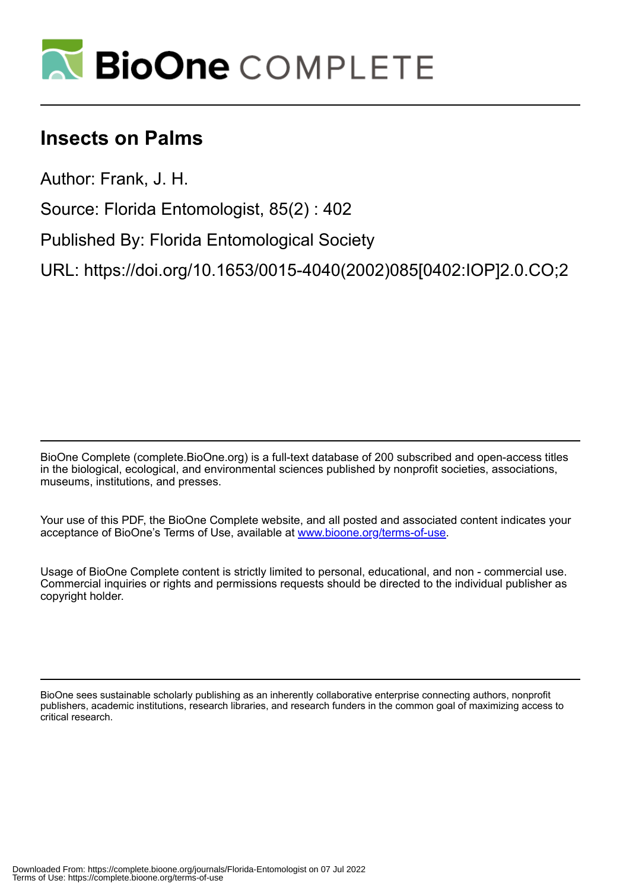

## **Insects on Palms**

Author: Frank, J. H.

Source: Florida Entomologist, 85(2) : 402

Published By: Florida Entomological Society

URL: https://doi.org/10.1653/0015-4040(2002)085[0402:IOP]2.0.CO;2

BioOne Complete (complete.BioOne.org) is a full-text database of 200 subscribed and open-access titles in the biological, ecological, and environmental sciences published by nonprofit societies, associations, museums, institutions, and presses.

Your use of this PDF, the BioOne Complete website, and all posted and associated content indicates your acceptance of BioOne's Terms of Use, available at www.bioone.org/terms-of-use.

Usage of BioOne Complete content is strictly limited to personal, educational, and non - commercial use. Commercial inquiries or rights and permissions requests should be directed to the individual publisher as copyright holder.

BioOne sees sustainable scholarly publishing as an inherently collaborative enterprise connecting authors, nonprofit publishers, academic institutions, research libraries, and research funders in the common goal of maximizing access to critical research.